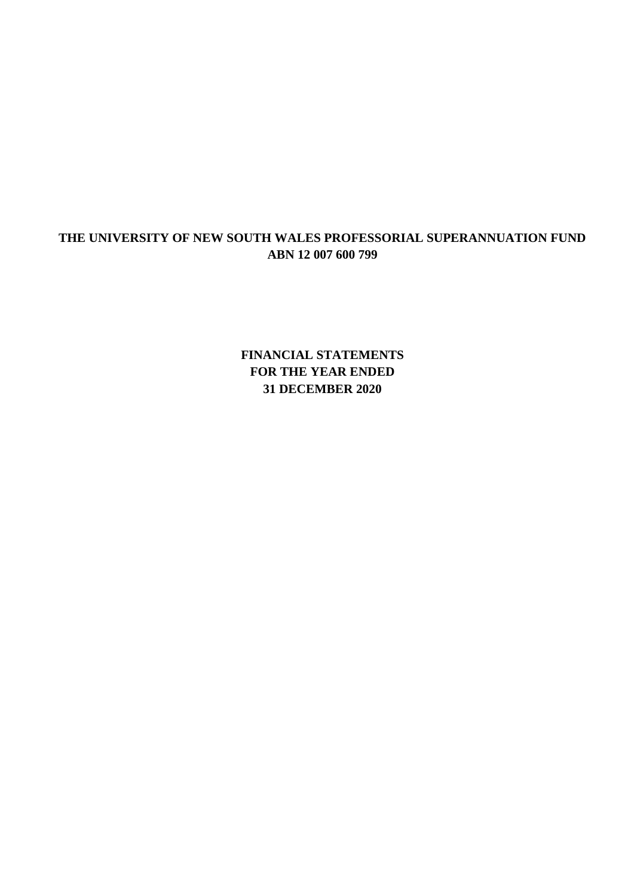**FINANCIAL STATEMENTS FOR THE YEAR ENDED 31 DECEMBER 2020**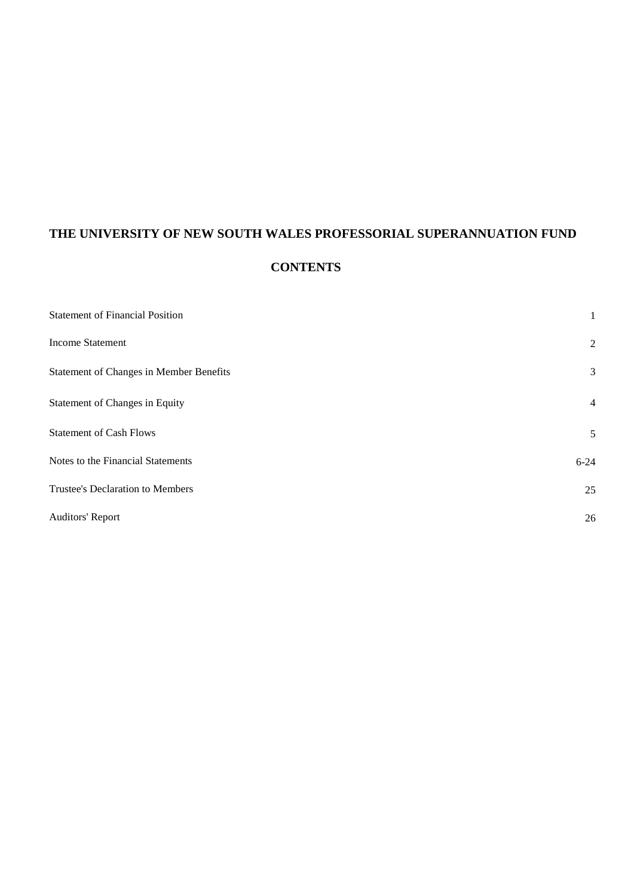# **CONTENTS**

| <b>Statement of Financial Position</b>         | 1              |
|------------------------------------------------|----------------|
| <b>Income Statement</b>                        | $\overline{2}$ |
| <b>Statement of Changes in Member Benefits</b> | 3              |
| Statement of Changes in Equity                 | $\overline{4}$ |
| <b>Statement of Cash Flows</b>                 | 5              |
| Notes to the Financial Statements              | $6 - 24$       |
| Trustee's Declaration to Members               | 25             |
| <b>Auditors' Report</b>                        | 26             |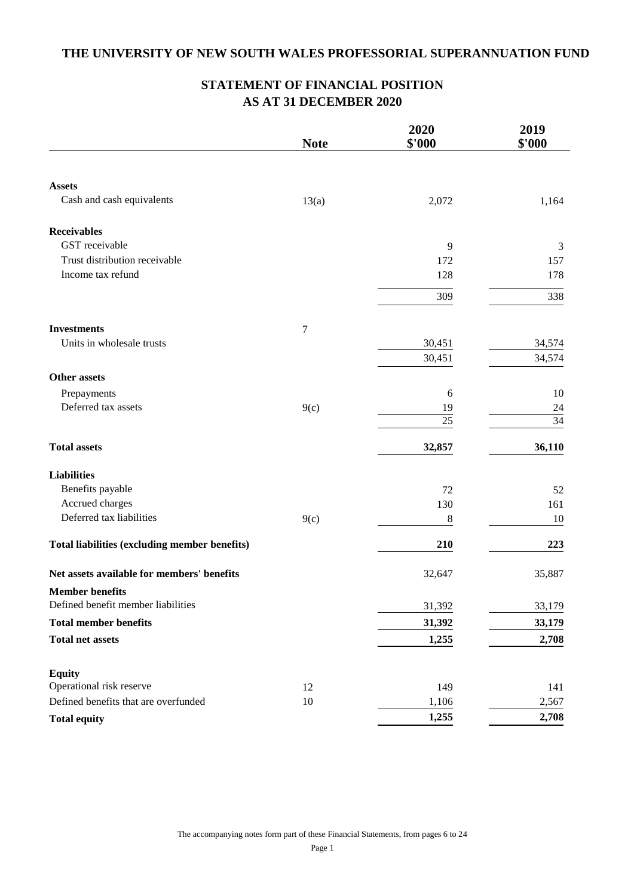## **STATEMENT OF FINANCIAL POSITION AS AT 31 DECEMBER 2020**

|                                               | <b>Note</b>      | 2020<br>\$'000 | 2019<br>\$'000 |
|-----------------------------------------------|------------------|----------------|----------------|
|                                               |                  |                |                |
| <b>Assets</b>                                 |                  |                |                |
| Cash and cash equivalents                     | 13(a)            | 2,072          | 1,164          |
| <b>Receivables</b>                            |                  |                |                |
| GST receivable                                |                  | 9              | 3              |
| Trust distribution receivable                 |                  | 172            | 157            |
| Income tax refund                             |                  | 128            | 178            |
|                                               |                  | 309            | 338            |
| <b>Investments</b>                            | $\boldsymbol{7}$ |                |                |
| Units in wholesale trusts                     |                  | 30,451         | 34,574         |
|                                               |                  | 30,451         | 34,574         |
| <b>Other assets</b>                           |                  |                |                |
| Prepayments                                   |                  | 6              | 10             |
| Deferred tax assets                           | 9(c)             | 19             | 24             |
|                                               |                  | 25             | 34             |
| <b>Total assets</b>                           |                  | 32,857         | 36,110         |
| <b>Liabilities</b>                            |                  |                |                |
| Benefits payable                              |                  | 72             | 52             |
| Accrued charges                               |                  | 130            | 161            |
| Deferred tax liabilities                      | 9(c)             | $\,8\,$        | 10             |
| Total liabilities (excluding member benefits) |                  | 210            | 223            |
| Net assets available for members' benefits    |                  | 32,647         | 35,887         |
| <b>Member benefits</b>                        |                  |                |                |
| Defined benefit member liabilities            |                  | 31,392         | 33,179         |
| <b>Total member benefits</b>                  |                  | 31,392         | 33,179         |
| <b>Total net assets</b>                       |                  | 1,255          | 2,708          |
| <b>Equity</b>                                 |                  |                |                |
| Operational risk reserve                      | 12               | 149            | 141            |
| Defined benefits that are overfunded          | 10               | 1,106          | 2,567          |
| <b>Total equity</b>                           |                  | 1,255          | 2,708          |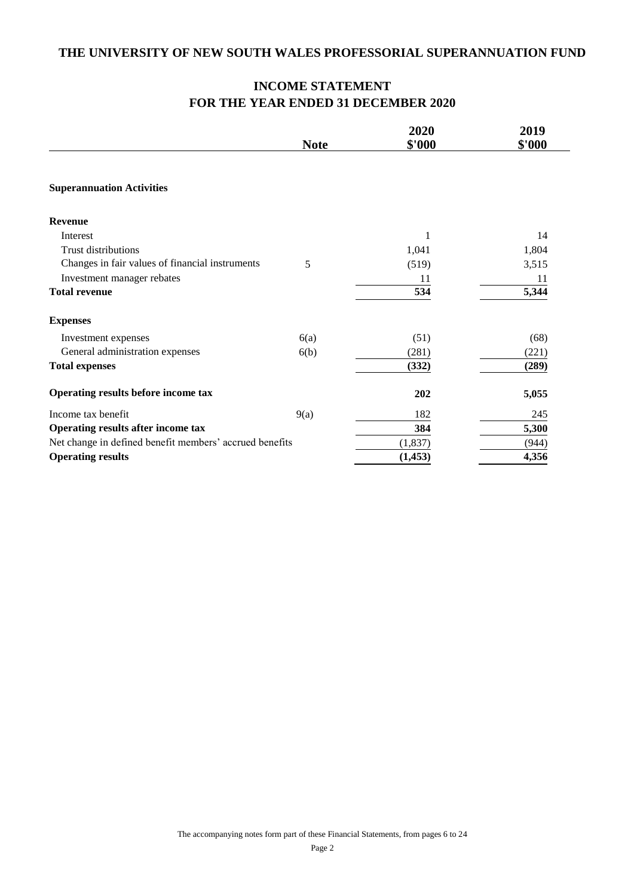## **INCOME STATEMENT FOR THE YEAR ENDED 31 DECEMBER 2020**

|                                                         |             | 2020     | 2019   |
|---------------------------------------------------------|-------------|----------|--------|
|                                                         | <b>Note</b> | \$'000   | \$'000 |
| <b>Superannuation Activities</b>                        |             |          |        |
| <b>Revenue</b>                                          |             |          |        |
| Interest                                                |             | 1        | 14     |
| <b>Trust distributions</b>                              |             | 1,041    | 1,804  |
| Changes in fair values of financial instruments         | 5           | (519)    | 3,515  |
| Investment manager rebates                              |             | 11       | 11     |
| <b>Total revenue</b>                                    |             | 534      | 5,344  |
| <b>Expenses</b>                                         |             |          |        |
| Investment expenses                                     | 6(a)        | (51)     | (68)   |
| General administration expenses                         | 6(b)        | (281)    | (221)  |
| <b>Total expenses</b>                                   |             | (332)    | (289)  |
| Operating results before income tax                     |             | 202      | 5,055  |
| Income tax benefit                                      | 9(a)        | 182      | 245    |
| Operating results after income tax                      |             | 384      | 5,300  |
| Net change in defined benefit members' accrued benefits |             | (1, 837) | (944)  |
| <b>Operating results</b>                                |             | (1, 453) | 4,356  |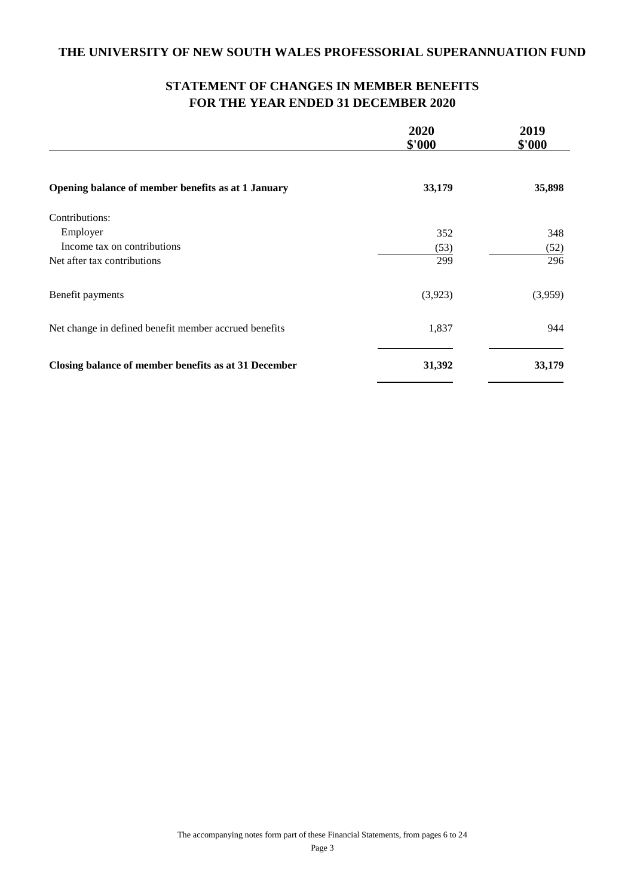# **STATEMENT OF CHANGES IN MEMBER BENEFITS FOR THE YEAR ENDED 31 DECEMBER 2020**

|                                                       | 2020<br>\$'000 | 2019<br>\$'000 |
|-------------------------------------------------------|----------------|----------------|
| Opening balance of member benefits as at 1 January    | 33,179         | 35,898         |
| Contributions:                                        |                |                |
| Employer                                              | 352            | 348            |
| Income tax on contributions                           | (53)           | (52)           |
| Net after tax contributions                           | 299            | 296            |
| Benefit payments                                      | (3,923)        | (3,959)        |
| Net change in defined benefit member accrued benefits | 1,837          | 944            |
| Closing balance of member benefits as at 31 December  | 31,392         | 33,179         |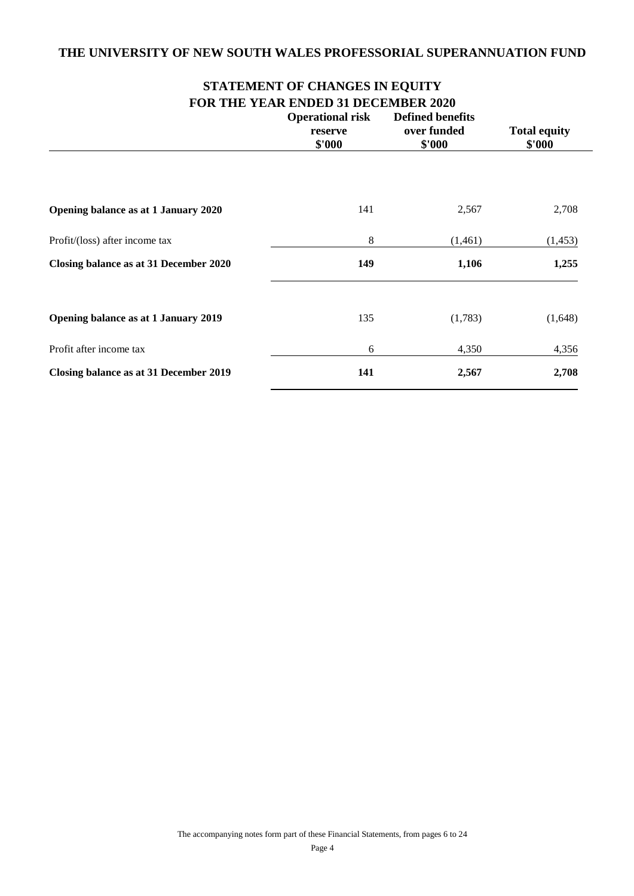# **STATEMENT OF CHANGES IN EQUITY FOR THE YEAR ENDED 31 DECEMBER 2020**

|                                        | 1 ОК 1110 1121К ЕКОЕВ 31 ВЕСЕМВЕК 2020<br><b>Operational risk</b> |                       |                               |
|----------------------------------------|-------------------------------------------------------------------|-----------------------|-------------------------------|
|                                        | reserve<br>\$'000                                                 | over funded<br>\$'000 | <b>Total equity</b><br>\$'000 |
|                                        |                                                                   |                       |                               |
| Opening balance as at 1 January 2020   | 141                                                               | 2,567                 | 2,708                         |
| Profit/(loss) after income tax         | 8                                                                 | (1,461)               | (1,453)                       |
| Closing balance as at 31 December 2020 | 149                                                               | 1,106                 | 1,255                         |
| Opening balance as at 1 January 2019   | 135                                                               | (1,783)               | (1,648)                       |
| Profit after income tax                | 6                                                                 | 4,350                 | 4,356                         |
| Closing balance as at 31 December 2019 | 141                                                               | 2,567                 | 2,708                         |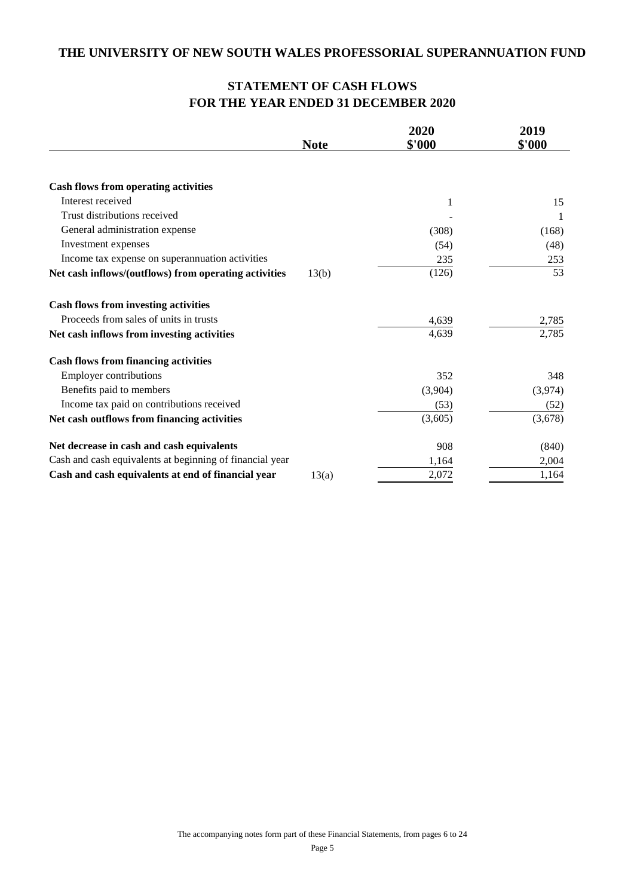# **STATEMENT OF CASH FLOWS FOR THE YEAR ENDED 31 DECEMBER 2020**

|                                                          |             | 2020    | 2019    |
|----------------------------------------------------------|-------------|---------|---------|
|                                                          | <b>Note</b> | \$'000  | \$'000  |
|                                                          |             |         |         |
| <b>Cash flows from operating activities</b>              |             |         |         |
| Interest received                                        |             | 1       | 15      |
| Trust distributions received                             |             |         | -1      |
| General administration expense                           |             | (308)   | (168)   |
| Investment expenses                                      |             | (54)    | (48)    |
| Income tax expense on superannuation activities          |             | 235     | 253     |
| Net cash inflows/(outflows) from operating activities    | 13(b)       | (126)   | 53      |
| <b>Cash flows from investing activities</b>              |             |         |         |
| Proceeds from sales of units in trusts                   |             | 4,639   | 2,785   |
| Net cash inflows from investing activities               |             | 4,639   | 2,785   |
| <b>Cash flows from financing activities</b>              |             |         |         |
| <b>Employer contributions</b>                            |             | 352     | 348     |
| Benefits paid to members                                 |             | (3,904) | (3,974) |
| Income tax paid on contributions received                |             | (53)    | (52)    |
| Net cash outflows from financing activities              |             | (3,605) | (3,678) |
| Net decrease in cash and cash equivalents                |             | 908     | (840)   |
| Cash and cash equivalents at beginning of financial year |             | 1,164   | 2,004   |
| Cash and cash equivalents at end of financial year       | 13(a)       | 2,072   | 1,164   |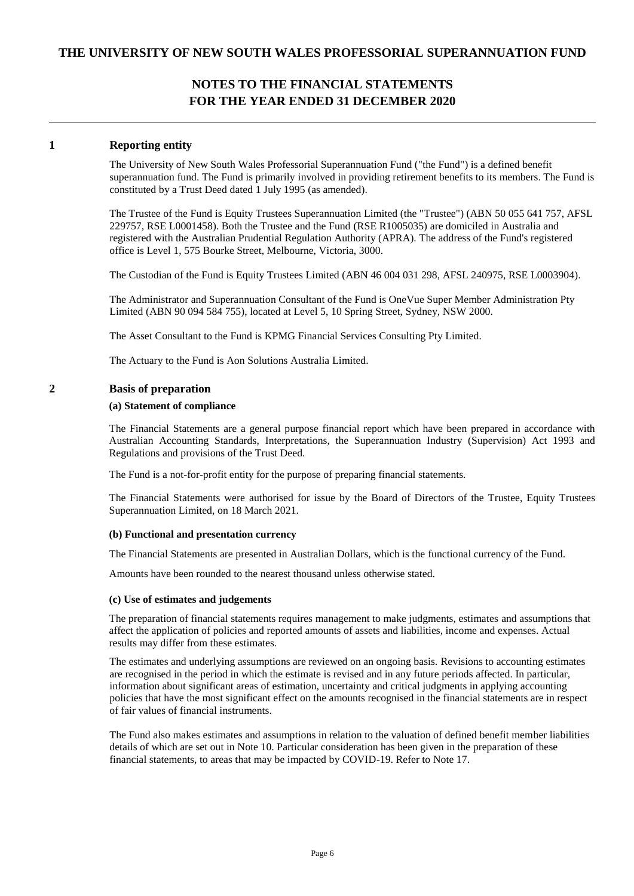### **1 Reporting entity**

The University of New South Wales Professorial Superannuation Fund ("the Fund") is a defined benefit superannuation fund. The Fund is primarily involved in providing retirement benefits to its members. The Fund is constituted by a Trust Deed dated 1 July 1995 (as amended).

The Trustee of the Fund is Equity Trustees Superannuation Limited (the "Trustee") (ABN 50 055 641 757, AFSL 229757, RSE L0001458). Both the Trustee and the Fund (RSE R1005035) are domiciled in Australia and registered with the Australian Prudential Regulation Authority (APRA). The address of the Fund's registered office is Level 1, 575 Bourke Street, Melbourne, Victoria, 3000.

The Custodian of the Fund is Equity Trustees Limited (ABN 46 004 031 298, AFSL 240975, RSE L0003904).

The Administrator and Superannuation Consultant of the Fund is OneVue Super Member Administration Pty Limited (ABN 90 094 584 755), located at Level 5, 10 Spring Street, Sydney, NSW 2000.

The Asset Consultant to the Fund is KPMG Financial Services Consulting Pty Limited.

The Actuary to the Fund is Aon Solutions Australia Limited.

### **2 Basis of preparation**

#### **(a) Statement of compliance**

The Financial Statements are a general purpose financial report which have been prepared in accordance with Australian Accounting Standards, Interpretations, the Superannuation Industry (Supervision) Act 1993 and Regulations and provisions of the Trust Deed.

The Fund is a not-for-profit entity for the purpose of preparing financial statements.

The Financial Statements were authorised for issue by the Board of Directors of the Trustee, Equity Trustees Superannuation Limited, on 18 March 2021.

#### **(b) Functional and presentation currency**

The Financial Statements are presented in Australian Dollars, which is the functional currency of the Fund.

Amounts have been rounded to the nearest thousand unless otherwise stated.

#### **(c) Use of estimates and judgements**

The preparation of financial statements requires management to make judgments, estimates and assumptions that affect the application of policies and reported amounts of assets and liabilities, income and expenses. Actual results may differ from these estimates.

The estimates and underlying assumptions are reviewed on an ongoing basis. Revisions to accounting estimates are recognised in the period in which the estimate is revised and in any future periods affected. In particular, information about significant areas of estimation, uncertainty and critical judgments in applying accounting policies that have the most significant effect on the amounts recognised in the financial statements are in respect of fair values of financial instruments.

The Fund also makes estimates and assumptions in relation to the valuation of defined benefit member liabilities details of which are set out in Note 10. Particular consideration has been given in the preparation of these financial statements, to areas that may be impacted by COVID-19. Refer to Note 17.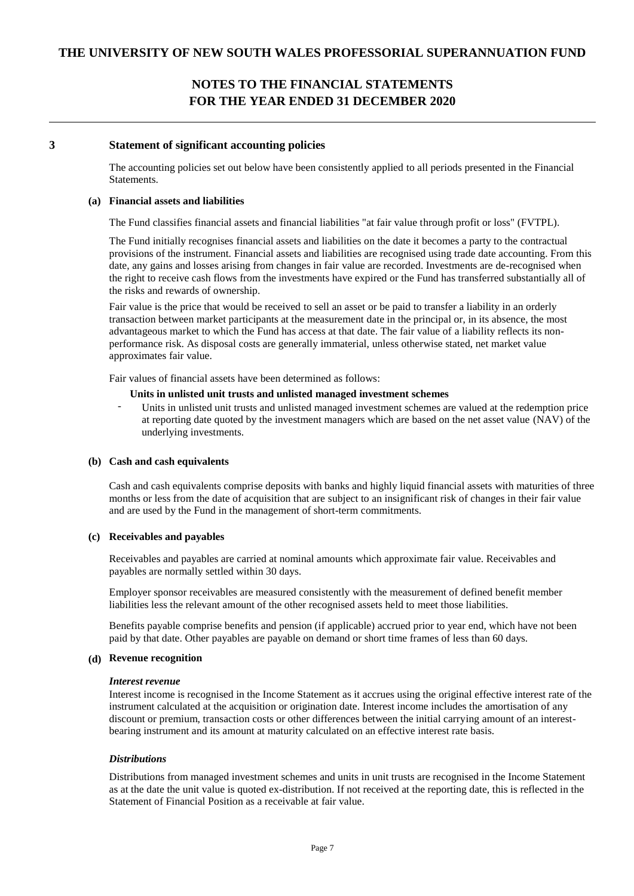#### **3 Statement of significant accounting policies**

The accounting policies set out below have been consistently applied to all periods presented in the Financial Statements.

#### **(a) Financial assets and liabilities**

The Fund classifies financial assets and financial liabilities "at fair value through profit or loss" (FVTPL).

The Fund initially recognises financial assets and liabilities on the date it becomes a party to the contractual provisions of the instrument. Financial assets and liabilities are recognised using trade date accounting. From this date, any gains and losses arising from changes in fair value are recorded. Investments are de-recognised when the right to receive cash flows from the investments have expired or the Fund has transferred substantially all of the risks and rewards of ownership.

Fair value is the price that would be received to sell an asset or be paid to transfer a liability in an orderly transaction between market participants at the measurement date in the principal or, in its absence, the most advantageous market to which the Fund has access at that date. The fair value of a liability reflects its nonperformance risk. As disposal costs are generally immaterial, unless otherwise stated, net market value approximates fair value.

Fair values of financial assets have been determined as follows:

#### **Units in unlisted unit trusts and unlisted managed investment schemes**

Units in unlisted unit trusts and unlisted managed investment schemes are valued at the redemption price at reporting date quoted by the investment managers which are based on the net asset value (NAV) of the underlying investments.

#### **(b) Cash and cash equivalents**

Cash and cash equivalents comprise deposits with banks and highly liquid financial assets with maturities of three months or less from the date of acquisition that are subject to an insignificant risk of changes in their fair value and are used by the Fund in the management of short-term commitments.

#### **(c) Receivables and payables**

Receivables and payables are carried at nominal amounts which approximate fair value. Receivables and payables are normally settled within 30 days.

Employer sponsor receivables are measured consistently with the measurement of defined benefit member liabilities less the relevant amount of the other recognised assets held to meet those liabilities.

Benefits payable comprise benefits and pension (if applicable) accrued prior to year end, which have not been paid by that date. Other payables are payable on demand or short time frames of less than 60 days.

#### **(d) Revenue recognition**

#### *Interest revenue*

Interest income is recognised in the Income Statement as it accrues using the original effective interest rate of the instrument calculated at the acquisition or origination date. Interest income includes the amortisation of any discount or premium, transaction costs or other differences between the initial carrying amount of an interestbearing instrument and its amount at maturity calculated on an effective interest rate basis.

#### *Distributions*

Distributions from managed investment schemes and units in unit trusts are recognised in the Income Statement as at the date the unit value is quoted ex-distribution. If not received at the reporting date, this is reflected in the Statement of Financial Position as a receivable at fair value.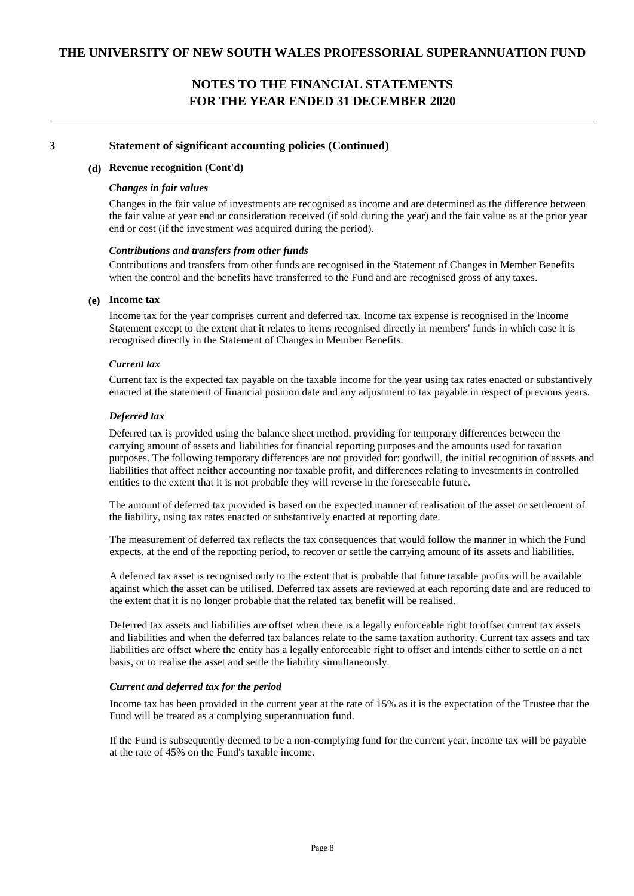### **3 Statement of significant accounting policies (Continued)**

### **(d) Revenue recognition (Cont'd)**

#### *Changes in fair values*

Changes in the fair value of investments are recognised as income and are determined as the difference between the fair value at year end or consideration received (if sold during the year) and the fair value as at the prior year end or cost (if the investment was acquired during the period).

#### *Contributions and transfers from other funds*

Contributions and transfers from other funds are recognised in the Statement of Changes in Member Benefits when the control and the benefits have transferred to the Fund and are recognised gross of any taxes.

### **(e) Income tax**

Income tax for the year comprises current and deferred tax. Income tax expense is recognised in the Income Statement except to the extent that it relates to items recognised directly in members' funds in which case it is recognised directly in the Statement of Changes in Member Benefits.

#### *Current tax*

Current tax is the expected tax payable on the taxable income for the year using tax rates enacted or substantively enacted at the statement of financial position date and any adjustment to tax payable in respect of previous years.

#### *Deferred tax*

Deferred tax is provided using the balance sheet method, providing for temporary differences between the carrying amount of assets and liabilities for financial reporting purposes and the amounts used for taxation purposes. The following temporary differences are not provided for: goodwill, the initial recognition of assets and liabilities that affect neither accounting nor taxable profit, and differences relating to investments in controlled entities to the extent that it is not probable they will reverse in the foreseeable future.

The amount of deferred tax provided is based on the expected manner of realisation of the asset or settlement of the liability, using tax rates enacted or substantively enacted at reporting date.

The measurement of deferred tax reflects the tax consequences that would follow the manner in which the Fund expects, at the end of the reporting period, to recover or settle the carrying amount of its assets and liabilities.

A deferred tax asset is recognised only to the extent that is probable that future taxable profits will be available against which the asset can be utilised. Deferred tax assets are reviewed at each reporting date and are reduced to the extent that it is no longer probable that the related tax benefit will be realised.

Deferred tax assets and liabilities are offset when there is a legally enforceable right to offset current tax assets and liabilities and when the deferred tax balances relate to the same taxation authority. Current tax assets and tax liabilities are offset where the entity has a legally enforceable right to offset and intends either to settle on a net basis, or to realise the asset and settle the liability simultaneously.

#### *Current and deferred tax for the period*

Income tax has been provided in the current year at the rate of 15% as it is the expectation of the Trustee that the Fund will be treated as a complying superannuation fund.

If the Fund is subsequently deemed to be a non-complying fund for the current year, income tax will be payable at the rate of 45% on the Fund's taxable income.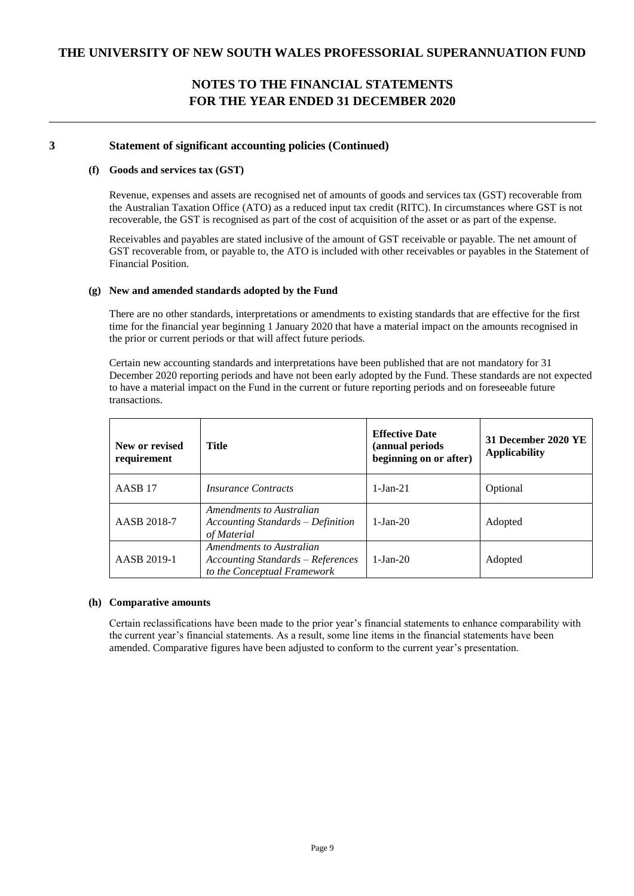### **3 Statement of significant accounting policies (Continued)**

### **(f) Goods and services tax (GST)**

Revenue, expenses and assets are recognised net of amounts of goods and services tax (GST) recoverable from the Australian Taxation Office (ATO) as a reduced input tax credit (RITC). In circumstances where GST is not recoverable, the GST is recognised as part of the cost of acquisition of the asset or as part of the expense.

Receivables and payables are stated inclusive of the amount of GST receivable or payable. The net amount of GST recoverable from, or payable to, the ATO is included with other receivables or payables in the Statement of Financial Position.

### **(g) New and amended standards adopted by the Fund**

There are no other standards, interpretations or amendments to existing standards that are effective for the first time for the financial year beginning 1 January 2020 that have a material impact on the amounts recognised in the prior or current periods or that will affect future periods.

Certain new accounting standards and interpretations have been published that are not mandatory for 31 December 2020 reporting periods and have not been early adopted by the Fund. These standards are not expected to have a material impact on the Fund in the current or future reporting periods and on foreseeable future transactions.

| New or revised<br>requirement | Title                                                                                        | <b>Effective Date</b><br>(annual periods<br>beginning on or after) | 31 December 2020 YE<br><b>Applicability</b> |
|-------------------------------|----------------------------------------------------------------------------------------------|--------------------------------------------------------------------|---------------------------------------------|
| AASB <sub>17</sub>            | <i>Insurance Contracts</i>                                                                   | $1-Jan-21$                                                         | Optional                                    |
| AASB 2018-7                   | Amendments to Australian<br>Accounting Standards – Definition<br>of Material                 | $1-Ian-20$                                                         | Adopted                                     |
| AASB 2019-1                   | Amendments to Australian<br>Accounting Standards – References<br>to the Conceptual Framework | $1-Ian-20$                                                         | Adopted                                     |

#### **(h) Comparative amounts**

Certain reclassifications have been made to the prior year's financial statements to enhance comparability with the current year's financial statements. As a result, some line items in the financial statements have been amended. Comparative figures have been adjusted to conform to the current year's presentation.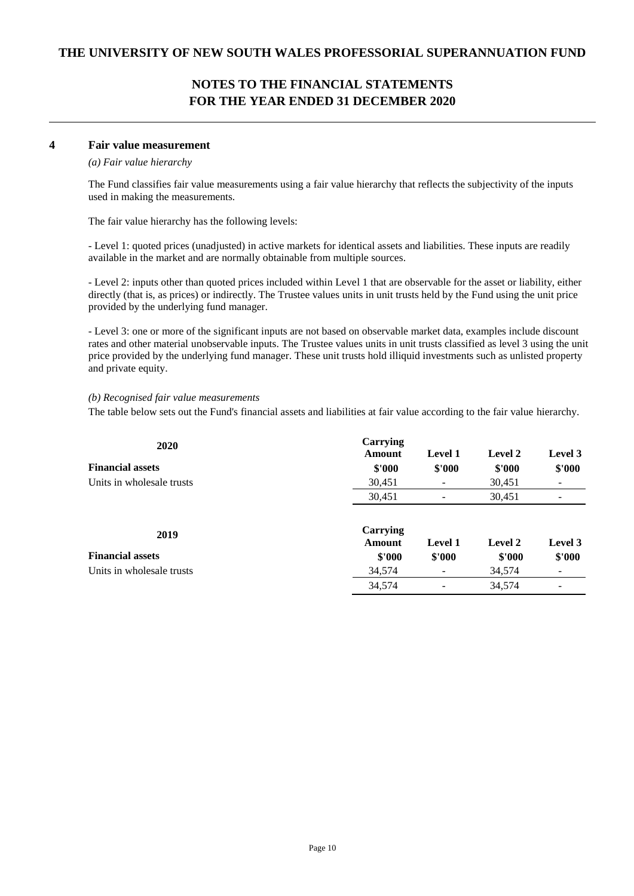### **4 Fair value measurement**

### *(a) Fair value hierarchy*

The Fund classifies fair value measurements using a fair value hierarchy that reflects the subjectivity of the inputs used in making the measurements.

The fair value hierarchy has the following levels:

- Level 1: quoted prices (unadjusted) in active markets for identical assets and liabilities. These inputs are readily available in the market and are normally obtainable from multiple sources.

- Level 2: inputs other than quoted prices included within Level 1 that are observable for the asset or liability, either directly (that is, as prices) or indirectly. The Trustee values units in unit trusts held by the Fund using the unit price provided by the underlying fund manager.

- Level 3: one or more of the significant inputs are not based on observable market data, examples include discount rates and other material unobservable inputs. The Trustee values units in unit trusts classified as level 3 using the unit price provided by the underlying fund manager. These unit trusts hold illiquid investments such as unlisted property and private equity.

### *(b) Recognised fair value measurements*

The table below sets out the Fund's financial assets and liabilities at fair value according to the fair value hierarchy.

| 2020                      | Carrying<br><b>Amount</b> | <b>Level 1</b> | Level 2 | Level 3 |
|---------------------------|---------------------------|----------------|---------|---------|
| <b>Financial assets</b>   | \$'000                    | \$'000         | \$'000  | \$'000  |
| Units in wholesale trusts | 30,451                    |                | 30,451  |         |
|                           | 30,451                    |                | 30,451  |         |
| 2019                      | Carrying<br><b>Amount</b> | <b>Level 1</b> | Level 2 | Level 3 |
| <b>Financial assets</b>   | \$'000                    | \$'000         | \$'000  | \$'000  |
| Units in wholesale trusts | 34,574                    |                | 34,574  |         |
|                           | 34,574                    |                | 34,574  |         |
|                           |                           |                |         |         |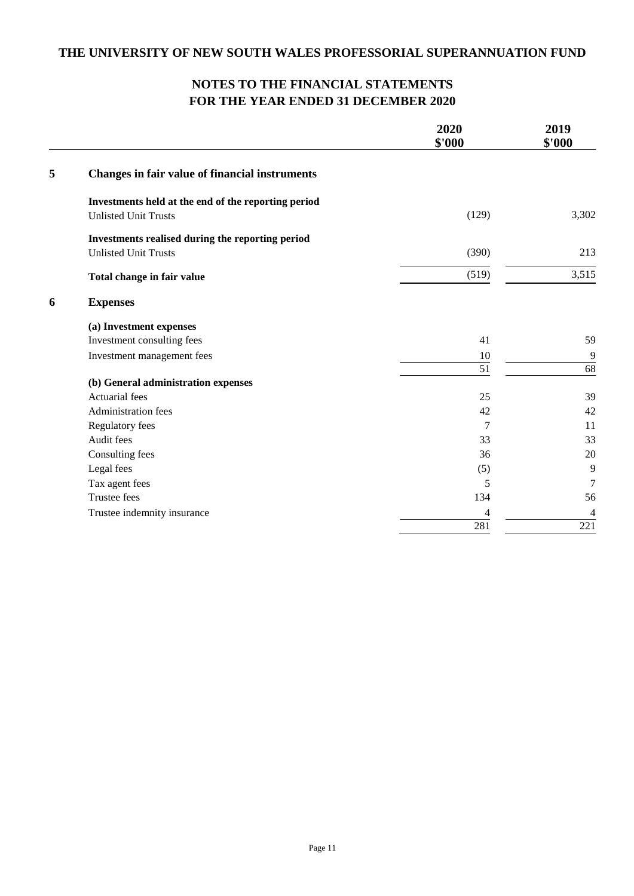# **NOTES TO THE FINANCIAL STATEMENTS FOR THE YEAR ENDED 31 DECEMBER 2020**

|   |                                                       | 2020<br>\$'000 | 2019<br>\$'000 |
|---|-------------------------------------------------------|----------------|----------------|
| 5 | <b>Changes in fair value of financial instruments</b> |                |                |
|   | Investments held at the end of the reporting period   |                |                |
|   | <b>Unlisted Unit Trusts</b>                           | (129)          | 3,302          |
|   | Investments realised during the reporting period      |                |                |
|   | <b>Unlisted Unit Trusts</b>                           | (390)          | 213            |
|   | Total change in fair value                            | (519)          | 3,515          |
| 6 | <b>Expenses</b>                                       |                |                |
|   | (a) Investment expenses                               |                |                |
|   | Investment consulting fees                            | 41             | 59             |
|   | Investment management fees                            | 10             | 9              |
|   |                                                       | 51             | 68             |
|   | (b) General administration expenses                   |                |                |
|   | Actuarial fees                                        | 25             | 39             |
|   | Administration fees                                   | 42             | 42             |
|   | Regulatory fees                                       | 7              | 11             |
|   | Audit fees                                            | 33             | 33             |
|   | Consulting fees                                       | 36             | 20             |
|   | Legal fees                                            | (5)            | 9              |
|   | Tax agent fees                                        | 5              | $\overline{7}$ |
|   | <b>Trustee fees</b>                                   | 134            | 56             |
|   | Trustee indemnity insurance                           | 4              | 4              |
|   |                                                       | 281            | 221            |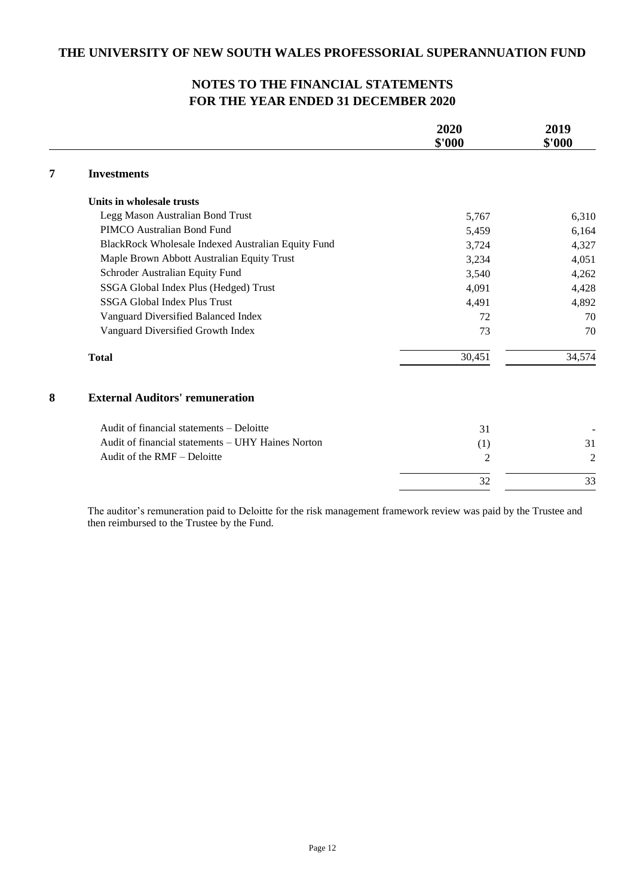|   |                                                    | 2020<br>\$'000 | 2019<br>\$'000 |
|---|----------------------------------------------------|----------------|----------------|
| 7 | <b>Investments</b>                                 |                |                |
|   | Units in wholesale trusts                          |                |                |
|   | Legg Mason Australian Bond Trust                   | 5,767          | 6,310          |
|   | PIMCO Australian Bond Fund                         | 5,459          | 6,164          |
|   | BlackRock Wholesale Indexed Australian Equity Fund | 3,724          | 4,327          |
|   | Maple Brown Abbott Australian Equity Trust         | 3,234          | 4,051          |
|   | Schroder Australian Equity Fund                    | 3,540          | 4,262          |
|   | SSGA Global Index Plus (Hedged) Trust              | 4,091          | 4,428          |
|   | <b>SSGA Global Index Plus Trust</b>                | 4,491          | 4,892          |
|   | Vanguard Diversified Balanced Index                | 72             | 70             |
|   | Vanguard Diversified Growth Index                  | 73             | 70             |
|   | <b>Total</b>                                       | 30,451         | 34,574         |
| 8 | <b>External Auditors' remuneration</b>             |                |                |
|   | Audit of financial statements - Deloitte           | 31             |                |
|   | Audit of financial statements - UHY Haines Norton  | (1)            | 31             |
|   | Audit of the RMF – Deloitte                        | $\overline{2}$ | $\overline{2}$ |
|   |                                                    | 32             | 33             |

The auditor's remuneration paid to Deloitte for the risk management framework review was paid by the Trustee and then reimbursed to the Trustee by the Fund.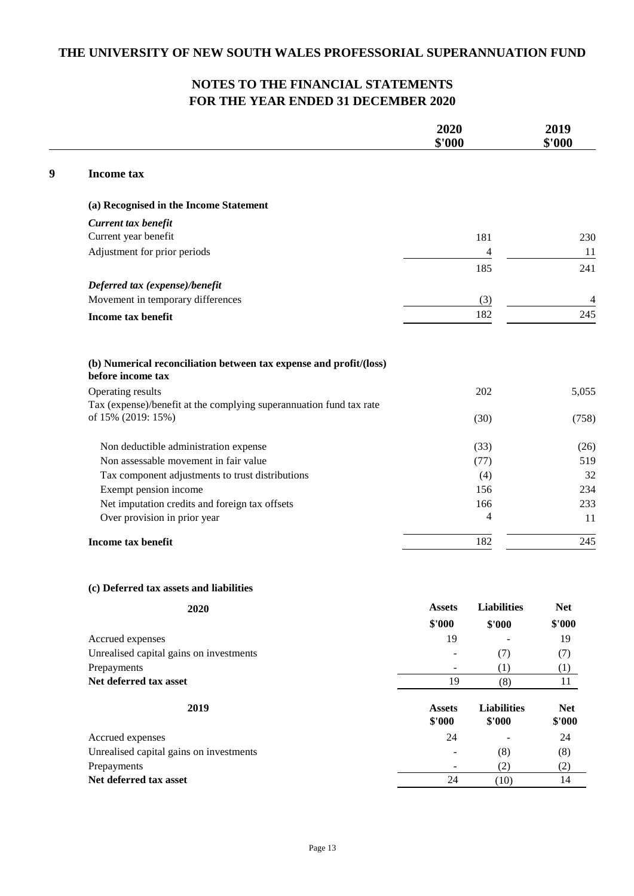|                                                                                                                                                                                                                                                                                                                                                 | 2020<br>\$'000 |                                    | 2019<br>\$'000                      |
|-------------------------------------------------------------------------------------------------------------------------------------------------------------------------------------------------------------------------------------------------------------------------------------------------------------------------------------------------|----------------|------------------------------------|-------------------------------------|
| <b>Income tax</b>                                                                                                                                                                                                                                                                                                                               |                |                                    |                                     |
| (a) Recognised in the Income Statement                                                                                                                                                                                                                                                                                                          |                |                                    |                                     |
| Current tax benefit                                                                                                                                                                                                                                                                                                                             |                |                                    |                                     |
| Current year benefit                                                                                                                                                                                                                                                                                                                            |                | 181                                | 230                                 |
| Adjustment for prior periods                                                                                                                                                                                                                                                                                                                    |                | $\overline{\mathcal{L}}$           | 11                                  |
|                                                                                                                                                                                                                                                                                                                                                 |                | 185                                | 241                                 |
| Deferred tax (expense)/benefit                                                                                                                                                                                                                                                                                                                  |                |                                    |                                     |
| Movement in temporary differences                                                                                                                                                                                                                                                                                                               |                | (3)                                | 4                                   |
| <b>Income tax benefit</b>                                                                                                                                                                                                                                                                                                                       |                | 182                                | 245                                 |
| (b) Numerical reconciliation between tax expense and profit/(loss)<br>before income tax<br>Operating results<br>Tax (expense)/benefit at the complying superannuation fund tax rate<br>of 15% (2019: 15%)<br>Non deductible administration expense<br>Non assessable movement in fair value<br>Tax component adjustments to trust distributions |                | 202<br>(30)<br>(33)<br>(77)<br>(4) | 5,055<br>(758)<br>(26)<br>519<br>32 |
| Exempt pension income                                                                                                                                                                                                                                                                                                                           |                | 156                                | 234                                 |
| Net imputation credits and foreign tax offsets                                                                                                                                                                                                                                                                                                  |                | 166                                | 233                                 |
| Over provision in prior year                                                                                                                                                                                                                                                                                                                    |                | 4                                  | 11                                  |
| Income tax benefit                                                                                                                                                                                                                                                                                                                              |                | 182                                | 245                                 |
| (c) Deferred tax assets and liabilities                                                                                                                                                                                                                                                                                                         |                |                                    |                                     |
| 2020                                                                                                                                                                                                                                                                                                                                            | <b>Assets</b>  | <b>Liabilities</b>                 | <b>Net</b>                          |
|                                                                                                                                                                                                                                                                                                                                                 | \$'000         | \$'000                             | \$'000                              |
| Accrued expenses                                                                                                                                                                                                                                                                                                                                | 19             |                                    | 19                                  |
| Unrealised capital gains on investments                                                                                                                                                                                                                                                                                                         |                | (7)                                | (7)                                 |
| Prepayments                                                                                                                                                                                                                                                                                                                                     |                | (1)                                | (1)                                 |
| Net deferred tax asset                                                                                                                                                                                                                                                                                                                          | 19             | (8)                                | 11                                  |

| 2019                                    | <b>Assets</b><br>\$'000 | <b>Liabilities</b><br>\$'000 | <b>Net</b><br>\$'000 |
|-----------------------------------------|-------------------------|------------------------------|----------------------|
| Accrued expenses                        | 24                      | -                            | 24                   |
| Unrealised capital gains on investments | Ξ.                      | (8)                          | (8)                  |
| Prepayments                             | ۰                       | (2)                          | (2)                  |
| Net deferred tax asset                  | 24                      | 10                           | 14                   |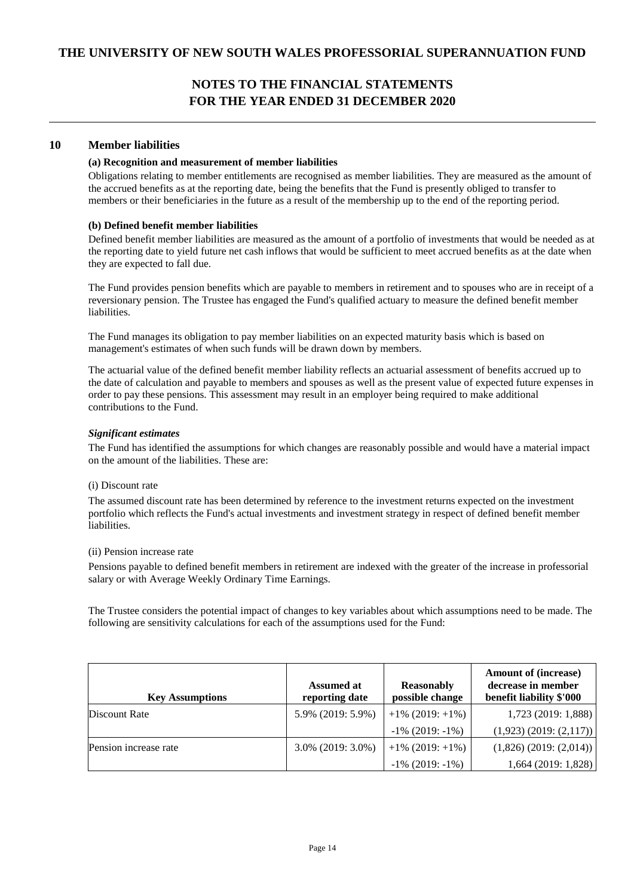### **10 Member liabilities**

### **(a) Recognition and measurement of member liabilities**

Obligations relating to member entitlements are recognised as member liabilities. They are measured as the amount of the accrued benefits as at the reporting date, being the benefits that the Fund is presently obliged to transfer to members or their beneficiaries in the future as a result of the membership up to the end of the reporting period.

### **(b) Defined benefit member liabilities**

Defined benefit member liabilities are measured as the amount of a portfolio of investments that would be needed as at the reporting date to yield future net cash inflows that would be sufficient to meet accrued benefits as at the date when they are expected to fall due.

The Fund provides pension benefits which are payable to members in retirement and to spouses who are in receipt of a reversionary pension. The Trustee has engaged the Fund's qualified actuary to measure the defined benefit member liabilities.

The Fund manages its obligation to pay member liabilities on an expected maturity basis which is based on management's estimates of when such funds will be drawn down by members.

The actuarial value of the defined benefit member liability reflects an actuarial assessment of benefits accrued up to the date of calculation and payable to members and spouses as well as the present value of expected future expenses in order to pay these pensions. This assessment may result in an employer being required to make additional contributions to the Fund.

#### *Significant estimates*

The Fund has identified the assumptions for which changes are reasonably possible and would have a material impact on the amount of the liabilities. These are:

#### (i) Discount rate

The assumed discount rate has been determined by reference to the investment returns expected on the investment portfolio which reflects the Fund's actual investments and investment strategy in respect of defined benefit member liabilities.

### (ii) Pension increase rate

Pensions payable to defined benefit members in retirement are indexed with the greater of the increase in professorial salary or with Average Weekly Ordinary Time Earnings.

The Trustee considers the potential impact of changes to key variables about which assumptions need to be made. The following are sensitivity calculations for each of the assumptions used for the Fund:

| <b>Key Assumptions</b> | <b>Assumed at</b><br>reporting date | <b>Reasonably</b><br>possible change | <b>Amount of (increase)</b><br>decrease in member<br>benefit liability \$'000 |
|------------------------|-------------------------------------|--------------------------------------|-------------------------------------------------------------------------------|
| Discount Rate          | 5.9% (2019: 5.9%)                   | $+1\%$ (2019: $+1\%$ )               | $1,723$ (2019: 1,888)                                                         |
|                        |                                     | $-1\%$ (2019: $-1\%$ )               | $(1,923)$ $(2019: (2,117))$                                                   |
| Pension increase rate  | $3.0\%$ (2019: 3.0%)                | $+1\%$ (2019: $+1\%$ )               | $(1,826)$ (2019: (2,014))                                                     |
|                        |                                     | $-1\%$ (2019: $-1\%$ )               | 1,664(2019:1,828)                                                             |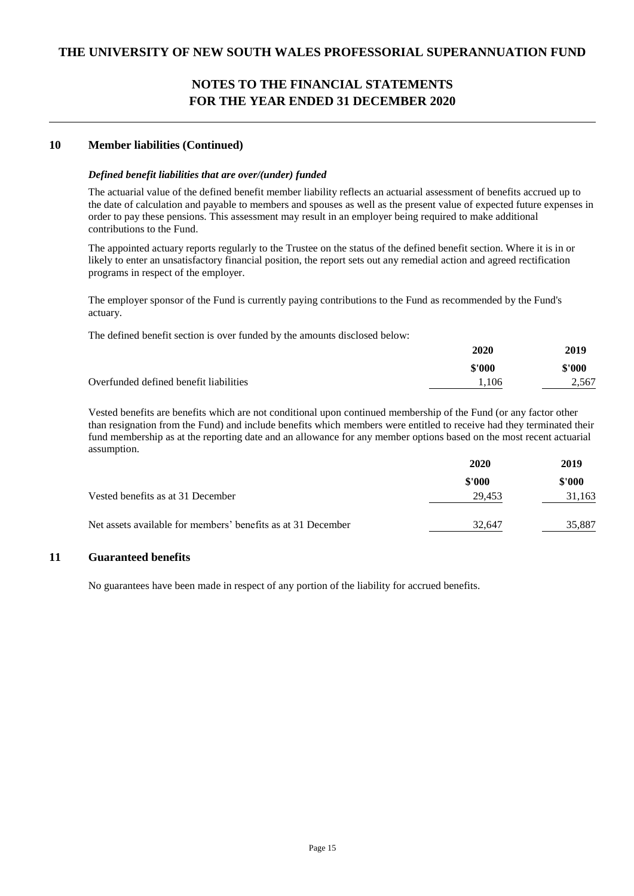### **10 Member liabilities (Continued)**

### *Defined benefit liabilities that are over/(under) funded*

The actuarial value of the defined benefit member liability reflects an actuarial assessment of benefits accrued up to the date of calculation and payable to members and spouses as well as the present value of expected future expenses in order to pay these pensions. This assessment may result in an employer being required to make additional contributions to the Fund.

The appointed actuary reports regularly to the Trustee on the status of the defined benefit section. Where it is in or likely to enter an unsatisfactory financial position, the report sets out any remedial action and agreed rectification programs in respect of the employer.

The employer sponsor of the Fund is currently paying contributions to the Fund as recommended by the Fund's actuary.

The defined benefit section is over funded by the amounts disclosed below:

|                                        | 2020   | 2019   |
|----------------------------------------|--------|--------|
|                                        | \$'000 | \$'000 |
| Overfunded defined benefit liabilities | 1.106  | 2,567  |

Vested benefits are benefits which are not conditional upon continued membership of the Fund (or any factor other than resignation from the Fund) and include benefits which members were entitled to receive had they terminated their fund membership as at the reporting date and an allowance for any member options based on the most recent actuarial assumption.

|                                                              | 2020   | 2019   |
|--------------------------------------------------------------|--------|--------|
|                                                              | \$'000 | \$'000 |
| Vested benefits as at 31 December                            | 29.453 | 31,163 |
| Net assets available for members' benefits as at 31 December | 32.647 | 35,887 |

### **11 Guaranteed benefits**

No guarantees have been made in respect of any portion of the liability for accrued benefits.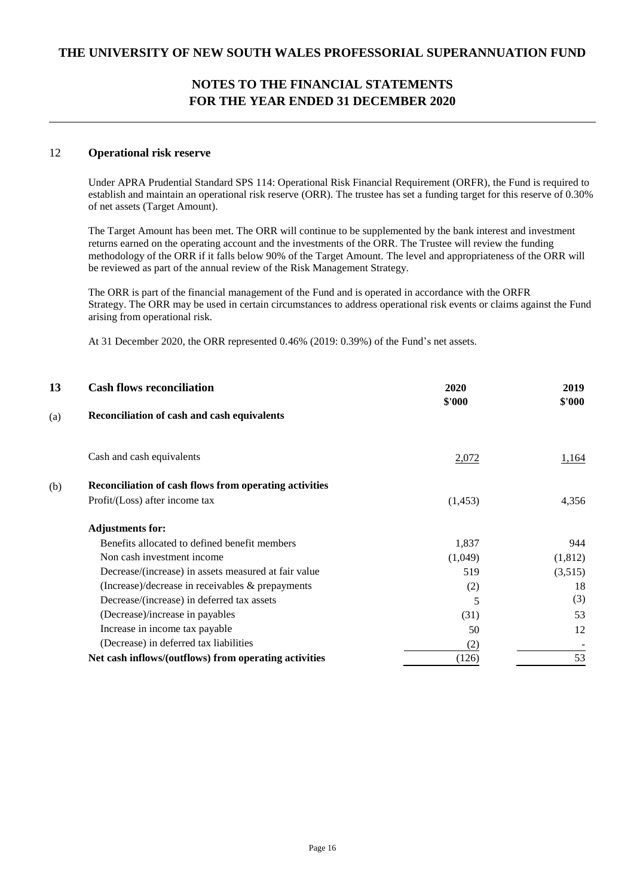### 12 **Operational risk reserve**

Under APRA Prudential Standard SPS 114: Operational Risk Financial Requirement (ORFR), the Fund is required to establish and maintain an operational risk reserve (ORR). The trustee has set a funding target for this reserve of 0.30% of net assets (Target Amount).

The Target Amount has been met. The ORR will continue to be supplemented by the bank interest and investment returns earned on the operating account and the investments of the ORR. The Trustee will review the funding methodology of the ORR if it falls below 90% of the Target Amount. The level and appropriateness of the ORR will be reviewed as part of the annual review of the Risk Management Strategy.

The ORR is part of the financial management of the Fund and is operated in accordance with the ORFR Strategy. The ORR may be used in certain circumstances to address operational risk events or claims against the Fund arising from operational risk.

At 31 December 2020, the ORR represented 0.46% (2019: 0.39%) of the Fund's net assets.

| 13  | <b>Cash flows reconciliation</b>                       | 2020    | 2019    |
|-----|--------------------------------------------------------|---------|---------|
| (a) | Reconciliation of cash and cash equivalents            | \$'000  | \$'000  |
|     | Cash and cash equivalents                              | 2,072   | 1,164   |
| (b) | Reconciliation of cash flows from operating activities |         |         |
|     | Profit/(Loss) after income tax                         | (1,453) | 4,356   |
|     | <b>Adjustments for:</b>                                |         |         |
|     | Benefits allocated to defined benefit members          | 1,837   | 944     |
|     | Non cash investment income                             | (1,049) | (1,812) |
|     | Decrease/(increase) in assets measured at fair value   | 519     | (3,515) |
|     | (Increase)/decrease in receivables $\&$ prepayments    | (2)     | 18      |
|     | Decrease/(increase) in deferred tax assets             | 5       | (3)     |
|     | (Decrease)/increase in payables                        | (31)    | 53      |
|     | Increase in income tax payable                         | 50      | 12      |
|     | (Decrease) in deferred tax liabilities                 | (2)     |         |
|     | Net cash inflows/(outflows) from operating activities  | (126)   | 53      |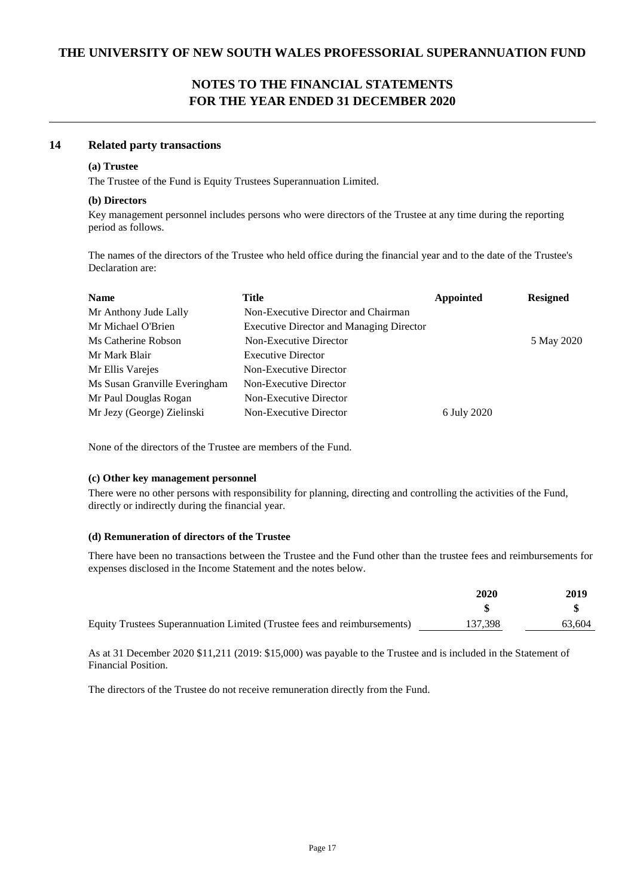### **14 Related party transactions**

### **(a) Trustee**

The Trustee of the Fund is Equity Trustees Superannuation Limited.

### **(b) Directors**

Key management personnel includes persons who were directors of the Trustee at any time during the reporting period as follows.

The names of the directors of the Trustee who held office during the financial year and to the date of the Trustee's Declaration are:

| Title                                           | <b>Appointed</b> | <b>Resigned</b> |
|-------------------------------------------------|------------------|-----------------|
| Non-Executive Director and Chairman             |                  |                 |
| <b>Executive Director and Managing Director</b> |                  |                 |
| Non-Executive Director                          |                  | 5 May 2020      |
| <b>Executive Director</b>                       |                  |                 |
| Non-Executive Director                          |                  |                 |
| Non-Executive Director                          |                  |                 |
| Non-Executive Director                          |                  |                 |
| Non-Executive Director                          | 6 July 2020      |                 |
|                                                 |                  |                 |

None of the directors of the Trustee are members of the Fund.

### **(c) Other key management personnel**

There were no other persons with responsibility for planning, directing and controlling the activities of the Fund, directly or indirectly during the financial year.

### **(d) Remuneration of directors of the Trustee**

There have been no transactions between the Trustee and the Fund other than the trustee fees and reimbursements for expenses disclosed in the Income Statement and the notes below.

|                                                                          | 2020    | 2019   |
|--------------------------------------------------------------------------|---------|--------|
|                                                                          |         |        |
| Equity Trustees Superannuation Limited (Trustee fees and reimbursements) | 137,398 | 63.604 |

As at 31 December 2020 \$11,211 (2019: \$15,000) was payable to the Trustee and is included in the Statement of Financial Position.

The directors of the Trustee do not receive remuneration directly from the Fund.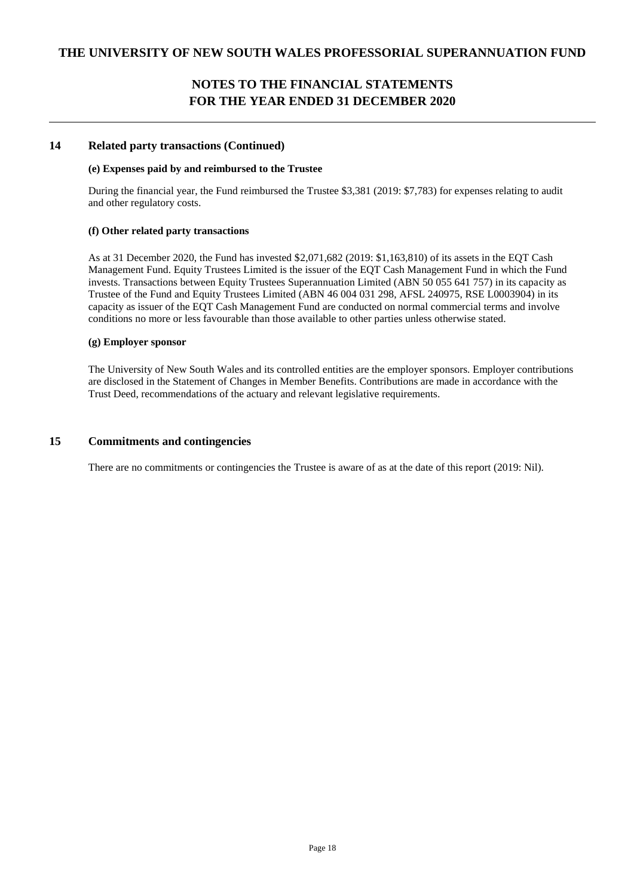### **14 Related party transactions (Continued)**

### **(e) Expenses paid by and reimbursed to the Trustee**

During the financial year, the Fund reimbursed the Trustee \$3,381 (2019: \$7,783) for expenses relating to audit and other regulatory costs.

#### **(f) Other related party transactions**

As at 31 December 2020, the Fund has invested \$2,071,682 (2019: \$1,163,810) of its assets in the EQT Cash Management Fund. Equity Trustees Limited is the issuer of the EQT Cash Management Fund in which the Fund invests. Transactions between Equity Trustees Superannuation Limited (ABN 50 055 641 757) in its capacity as Trustee of the Fund and Equity Trustees Limited (ABN 46 004 031 298, AFSL 240975, RSE L0003904) in its capacity as issuer of the EQT Cash Management Fund are conducted on normal commercial terms and involve conditions no more or less favourable than those available to other parties unless otherwise stated.

#### **(g) Employer sponsor**

The University of New South Wales and its controlled entities are the employer sponsors. Employer contributions are disclosed in the Statement of Changes in Member Benefits. Contributions are made in accordance with the Trust Deed, recommendations of the actuary and relevant legislative requirements.

### **15 Commitments and contingencies**

There are no commitments or contingencies the Trustee is aware of as at the date of this report (2019: Nil).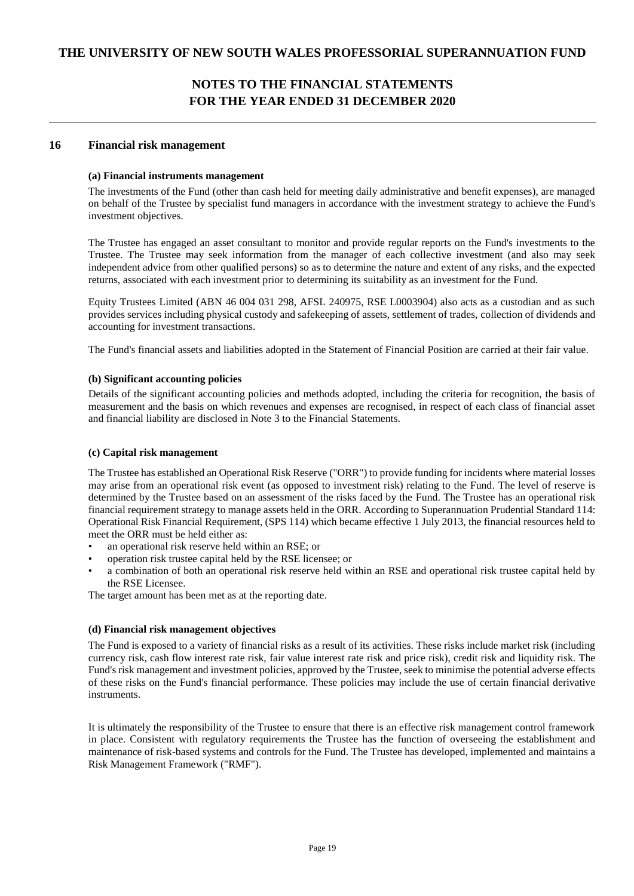### **16 Financial risk management**

### **(a) Financial instruments management**

The investments of the Fund (other than cash held for meeting daily administrative and benefit expenses), are managed on behalf of the Trustee by specialist fund managers in accordance with the investment strategy to achieve the Fund's investment objectives.

The Trustee has engaged an asset consultant to monitor and provide regular reports on the Fund's investments to the Trustee. The Trustee may seek information from the manager of each collective investment (and also may seek independent advice from other qualified persons) so as to determine the nature and extent of any risks, and the expected returns, associated with each investment prior to determining its suitability as an investment for the Fund.

Equity Trustees Limited (ABN 46 004 031 298, AFSL 240975, RSE L0003904) also acts as a custodian and as such provides services including physical custody and safekeeping of assets, settlement of trades, collection of dividends and accounting for investment transactions.

The Fund's financial assets and liabilities adopted in the Statement of Financial Position are carried at their fair value.

### **(b) Significant accounting policies**

Details of the significant accounting policies and methods adopted, including the criteria for recognition, the basis of measurement and the basis on which revenues and expenses are recognised, in respect of each class of financial asset and financial liability are disclosed in Note 3 to the Financial Statements.

### **(c) Capital risk management**

The Trustee has established an Operational Risk Reserve ("ORR") to provide funding for incidents where material losses may arise from an operational risk event (as opposed to investment risk) relating to the Fund. The level of reserve is determined by the Trustee based on an assessment of the risks faced by the Fund. The Trustee has an operational risk financial requirement strategy to manage assets held in the ORR. According to Superannuation Prudential Standard 114: Operational Risk Financial Requirement, (SPS 114) which became effective 1 July 2013, the financial resources held to meet the ORR must be held either as:

- an operational risk reserve held within an RSE; or
- operation risk trustee capital held by the RSE licensee; or
- a combination of both an operational risk reserve held within an RSE and operational risk trustee capital held by the RSE Licensee.

The target amount has been met as at the reporting date.

### **(d) Financial risk management objectives**

The Fund is exposed to a variety of financial risks as a result of its activities. These risks include market risk (including currency risk, cash flow interest rate risk, fair value interest rate risk and price risk), credit risk and liquidity risk. The Fund's risk management and investment policies, approved by the Trustee, seek to minimise the potential adverse effects of these risks on the Fund's financial performance. These policies may include the use of certain financial derivative instruments.

It is ultimately the responsibility of the Trustee to ensure that there is an effective risk management control framework in place. Consistent with regulatory requirements the Trustee has the function of overseeing the establishment and maintenance of risk-based systems and controls for the Fund. The Trustee has developed, implemented and maintains a Risk Management Framework ("RMF").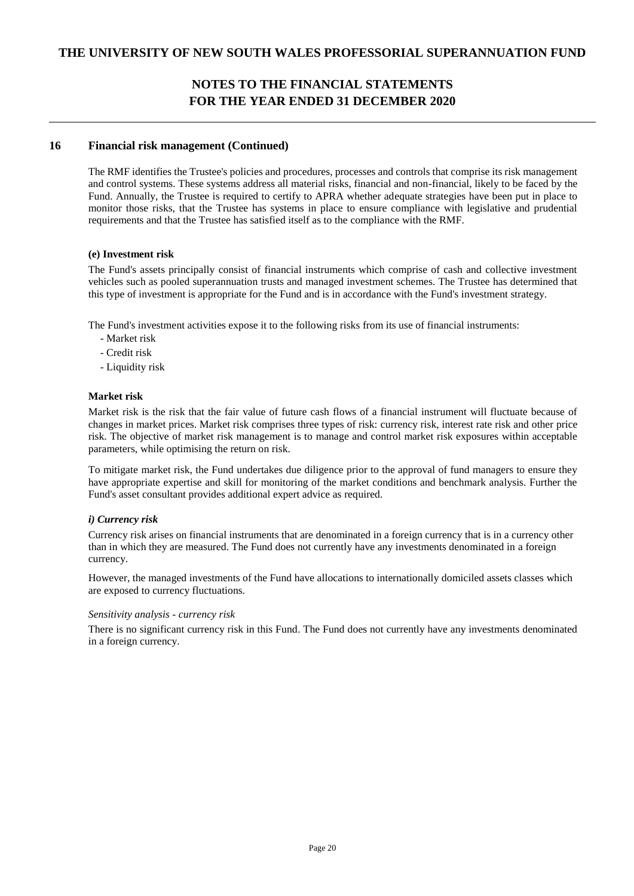### **16 Financial risk management (Continued)**

The RMF identifies the Trustee's policies and procedures, processes and controls that comprise its risk management and control systems. These systems address all material risks, financial and non-financial, likely to be faced by the Fund. Annually, the Trustee is required to certify to APRA whether adequate strategies have been put in place to monitor those risks, that the Trustee has systems in place to ensure compliance with legislative and prudential requirements and that the Trustee has satisfied itself as to the compliance with the RMF.

### **(e) Investment risk**

The Fund's assets principally consist of financial instruments which comprise of cash and collective investment vehicles such as pooled superannuation trusts and managed investment schemes. The Trustee has determined that this type of investment is appropriate for the Fund and is in accordance with the Fund's investment strategy.

The Fund's investment activities expose it to the following risks from its use of financial instruments:

- Market risk
- Credit risk
- Liquidity risk

#### **Market risk**

Market risk is the risk that the fair value of future cash flows of a financial instrument will fluctuate because of changes in market prices. Market risk comprises three types of risk: currency risk, interest rate risk and other price risk. The objective of market risk management is to manage and control market risk exposures within acceptable parameters, while optimising the return on risk.

To mitigate market risk, the Fund undertakes due diligence prior to the approval of fund managers to ensure they have appropriate expertise and skill for monitoring of the market conditions and benchmark analysis. Further the Fund's asset consultant provides additional expert advice as required.

### *i) Currency risk*

Currency risk arises on financial instruments that are denominated in a foreign currency that is in a currency other than in which they are measured. The Fund does not currently have any investments denominated in a foreign currency.

However, the managed investments of the Fund have allocations to internationally domiciled assets classes which are exposed to currency fluctuations.

#### *Sensitivity analysis - currency risk*

There is no significant currency risk in this Fund. The Fund does not currently have any investments denominated in a foreign currency.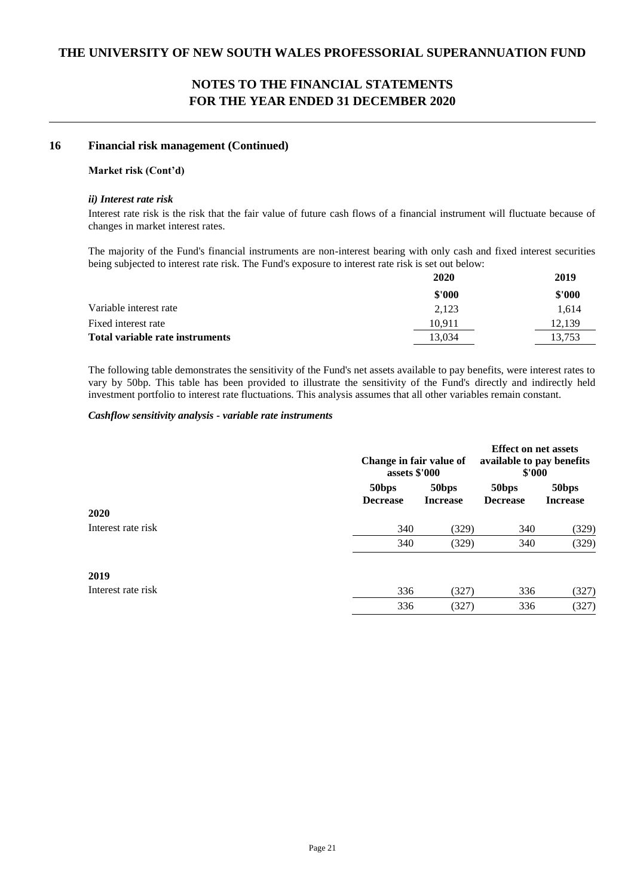### **16 Financial risk management (Continued)**

### **Market risk (Cont'd)**

### *ii) Interest rate risk*

Interest rate risk is the risk that the fair value of future cash flows of a financial instrument will fluctuate because of changes in market interest rates.

The majority of the Fund's financial instruments are non-interest bearing with only cash and fixed interest securities being subjected to interest rate risk. The Fund's exposure to interest rate risk is set out below:

|                                 | 2020   | 2019   |
|---------------------------------|--------|--------|
|                                 | \$'000 | \$'000 |
| Variable interest rate          | 2,123  | 1.614  |
| Fixed interest rate             | 10.911 | 12.139 |
| Total variable rate instruments | 13.034 | 13.753 |

The following table demonstrates the sensitivity of the Fund's net assets available to pay benefits, were interest rates to vary by 50bp. This table has been provided to illustrate the sensitivity of the Fund's directly and indirectly held investment portfolio to interest rate fluctuations. This analysis assumes that all other variables remain constant.

### *Cashflow sensitivity analysis - variable rate instruments*

|                    |                          | Change in fair value of<br>assets \$'000 |                                      | <b>Effect on net assets</b><br>available to pay benefits<br>\$'000 |  |
|--------------------|--------------------------|------------------------------------------|--------------------------------------|--------------------------------------------------------------------|--|
|                    | 50bps<br><b>Decrease</b> | 50bps<br><b>Increase</b>                 | 50 <sub>bps</sub><br><b>Decrease</b> | 50bps<br><b>Increase</b>                                           |  |
| 2020               |                          |                                          |                                      |                                                                    |  |
| Interest rate risk | 340                      | (329)                                    | 340                                  | (329)                                                              |  |
|                    | 340                      | (329)                                    | 340                                  | (329)                                                              |  |
| 2019               |                          |                                          |                                      |                                                                    |  |
| Interest rate risk | 336                      | (327)                                    | 336                                  | (327)                                                              |  |
|                    | 336                      | (327)                                    | 336                                  | (327)                                                              |  |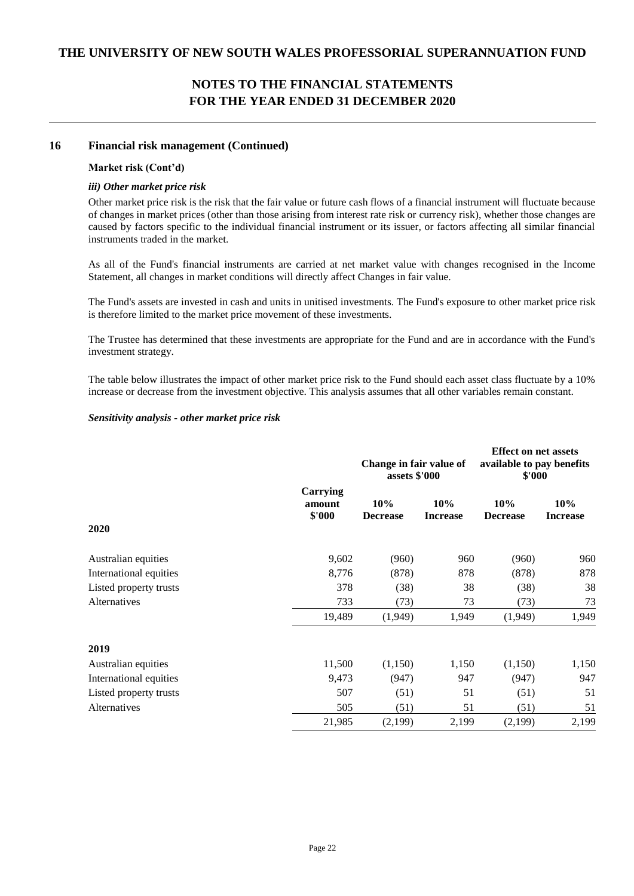### **16 Financial risk management (Continued)**

### **Market risk (Cont'd)**

### *iii) Other market price risk*

Other market price risk is the risk that the fair value or future cash flows of a financial instrument will fluctuate because of changes in market prices (other than those arising from interest rate risk or currency risk), whether those changes are caused by factors specific to the individual financial instrument or its issuer, or factors affecting all similar financial instruments traded in the market.

As all of the Fund's financial instruments are carried at net market value with changes recognised in the Income Statement, all changes in market conditions will directly affect Changes in fair value.

The Fund's assets are invested in cash and units in unitised investments. The Fund's exposure to other market price risk is therefore limited to the market price movement of these investments.

The Trustee has determined that these investments are appropriate for the Fund and are in accordance with the Fund's investment strategy.

The table below illustrates the impact of other market price risk to the Fund should each asset class fluctuate by a 10% increase or decrease from the investment objective. This analysis assumes that all other variables remain constant.

### *Sensitivity analysis - other market price risk*

|                        |                              | Change in fair value of<br>assets \$'000 |                        | <b>Effect on net assets</b><br>available to pay benefits<br>\$'000 |                        |
|------------------------|------------------------------|------------------------------------------|------------------------|--------------------------------------------------------------------|------------------------|
|                        | Carrying<br>amount<br>\$'000 | 10%<br><b>Decrease</b>                   | 10%<br><b>Increase</b> | 10%<br><b>Decrease</b>                                             | 10%<br><b>Increase</b> |
| 2020                   |                              |                                          |                        |                                                                    |                        |
| Australian equities    | 9,602                        | (960)                                    | 960                    | (960)                                                              | 960                    |
| International equities | 8,776                        | (878)                                    | 878                    | (878)                                                              | 878                    |
| Listed property trusts | 378                          | (38)                                     | 38                     | (38)                                                               | 38                     |
| Alternatives           | 733                          | (73)                                     | 73                     | (73)                                                               | 73                     |
|                        | 19,489                       | (1,949)                                  | 1,949                  | (1,949)                                                            | 1,949                  |
| 2019                   |                              |                                          |                        |                                                                    |                        |
| Australian equities    | 11,500                       | (1,150)                                  | 1,150                  | (1,150)                                                            | 1,150                  |
| International equities | 9,473                        | (947)                                    | 947                    | (947)                                                              | 947                    |
| Listed property trusts | 507                          | (51)                                     | 51                     | (51)                                                               | 51                     |
| Alternatives           | 505                          | (51)                                     | 51                     | (51)                                                               | 51                     |
|                        | 21,985                       | (2,199)                                  | 2,199                  | (2,199)                                                            | 2,199                  |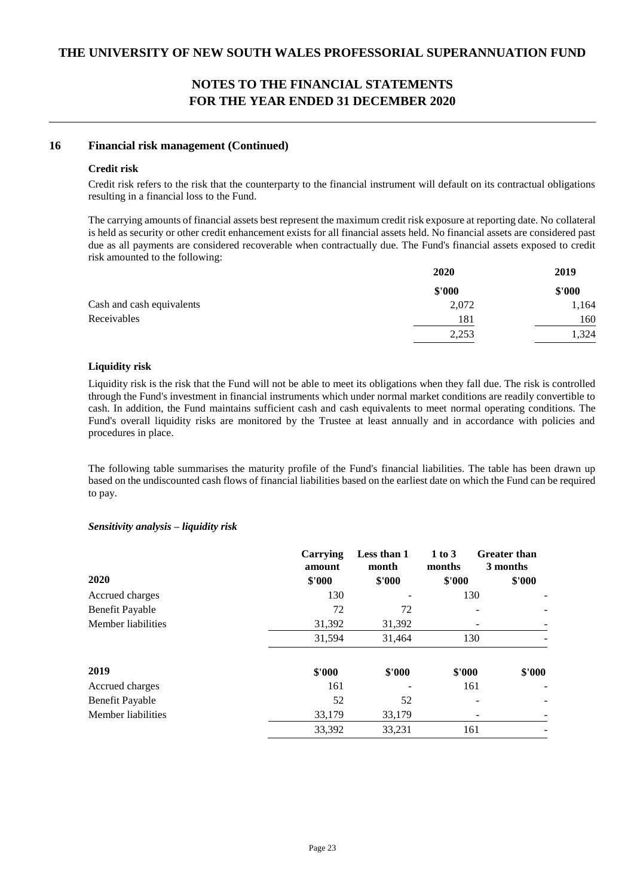### **16 Financial risk management (Continued)**

### **Credit risk**

Credit risk refers to the risk that the counterparty to the financial instrument will default on its contractual obligations resulting in a financial loss to the Fund.

The carrying amounts of financial assets best represent the maximum credit risk exposure at reporting date. No collateral is held as security or other credit enhancement exists for all financial assets held. No financial assets are considered past due as all payments are considered recoverable when contractually due. The Fund's financial assets exposed to credit risk amounted to the following:

|                           | <b>2020</b> | 2019   |
|---------------------------|-------------|--------|
|                           | \$'000      | \$'000 |
| Cash and cash equivalents | 2,072       | 1,164  |
| Receivables               | 181         | 160    |
|                           | 2,253       | .324   |
|                           |             |        |

### **Liquidity risk**

Liquidity risk is the risk that the Fund will not be able to meet its obligations when they fall due. The risk is controlled through the Fund's investment in financial instruments which under normal market conditions are readily convertible to cash. In addition, the Fund maintains sufficient cash and cash equivalents to meet normal operating conditions. The Fund's overall liquidity risks are monitored by the Trustee at least annually and in accordance with policies and procedures in place.

The following table summarises the maturity profile of the Fund's financial liabilities. The table has been drawn up based on the undiscounted cash flows of financial liabilities based on the earliest date on which the Fund can be required to pay.

### *Sensitivity analysis – liquidity risk*

|                        | Carrying<br>amount | Less than 1<br>month | 1 to 3<br>months | <b>Greater than</b><br>3 months |
|------------------------|--------------------|----------------------|------------------|---------------------------------|
| 2020                   | \$'000             | \$'000               | \$'000           | \$'000                          |
| Accrued charges        | 130                |                      | 130              |                                 |
| <b>Benefit Payable</b> | 72                 | 72                   |                  |                                 |
| Member liabilities     | 31,392             | 31,392               |                  |                                 |
|                        | 31,594             | 31,464               | 130              |                                 |
| 2019                   | \$'000             | \$'000               | \$'000           | \$'000                          |
| Accrued charges        | 161                |                      | 161              |                                 |
| Benefit Payable        | 52                 | 52                   |                  |                                 |
| Member liabilities     | 33,179             | 33,179               |                  |                                 |
|                        | 33,392             | 33.231               | 161              |                                 |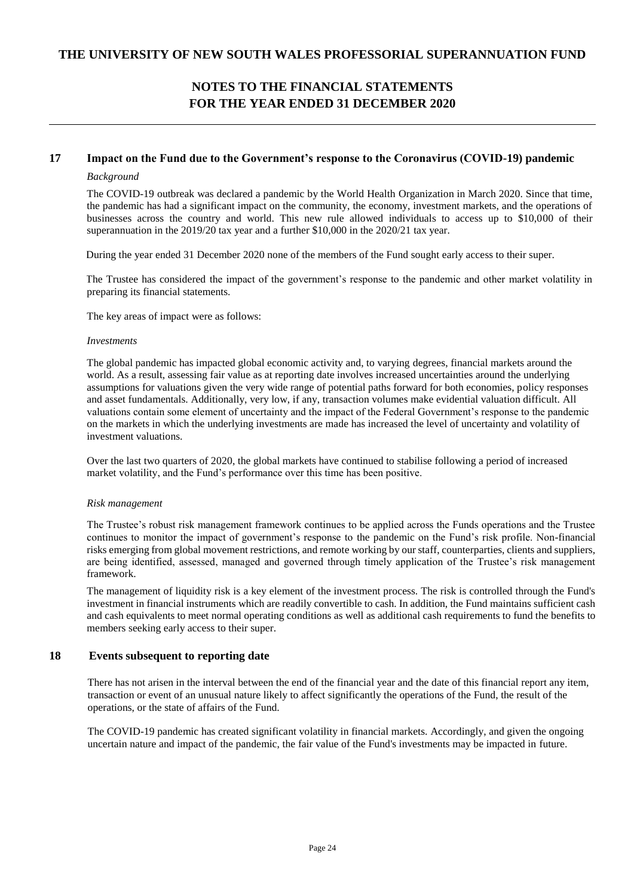### **17 Impact on the Fund due to the Government's response to the Coronavirus (COVID-19) pandemic**

### *Background*

The COVID-19 outbreak was declared a pandemic by the World Health Organization in March 2020. Since that time, the pandemic has had a significant impact on the community, the economy, investment markets, and the operations of businesses across the country and world. This new rule allowed individuals to access up to \$10,000 of their superannuation in the 2019/20 tax year and a further \$10,000 in the 2020/21 tax year.

During the year ended 31 December 2020 none of the members of the Fund sought early access to their super.

 The Trustee has considered the impact of the government's response to the pandemic and other market volatility in preparing its financial statements.

The key areas of impact were as follows:

#### *Investments*

The global pandemic has impacted global economic activity and, to varying degrees, financial markets around the world. As a result, assessing fair value as at reporting date involves increased uncertainties around the underlying assumptions for valuations given the very wide range of potential paths forward for both economies, policy responses and asset fundamentals. Additionally, very low, if any, transaction volumes make evidential valuation difficult. All valuations contain some element of uncertainty and the impact of the Federal Government's response to the pandemic on the markets in which the underlying investments are made has increased the level of uncertainty and volatility of investment valuations.

Over the last two quarters of 2020, the global markets have continued to stabilise following a period of increased market volatility, and the Fund's performance over this time has been positive.

#### *Risk management*

The Trustee's robust risk management framework continues to be applied across the Funds operations and the Trustee continues to monitor the impact of government's response to the pandemic on the Fund's risk profile. Non-financial risks emerging from global movement restrictions, and remote working by our staff, counterparties, clients and suppliers, are being identified, assessed, managed and governed through timely application of the Trustee's risk management framework.

The management of liquidity risk is a key element of the investment process. The risk is controlled through the Fund's investment in financial instruments which are readily convertible to cash. In addition, the Fund maintains sufficient cash and cash equivalents to meet normal operating conditions as well as additional cash requirements to fund the benefits to members seeking early access to their super.

### **18 Events subsequent to reporting date**

There has not arisen in the interval between the end of the financial year and the date of this financial report any item, transaction or event of an unusual nature likely to affect significantly the operations of the Fund, the result of the operations, or the state of affairs of the Fund.

The COVID-19 pandemic has created significant volatility in financial markets. Accordingly, and given the ongoing uncertain nature and impact of the pandemic, the fair value of the Fund's investments may be impacted in future.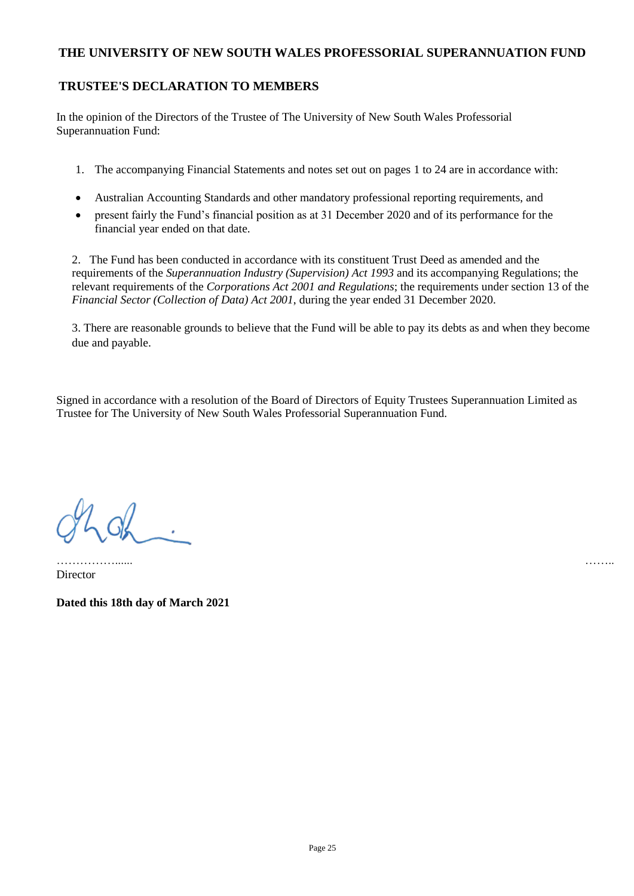### **TRUSTEE'S DECLARATION TO MEMBERS**

In the opinion of the Directors of the Trustee of The University of New South Wales Professorial Superannuation Fund:

- 1. The accompanying Financial Statements and notes set out on pages 1 to 24 are in accordance with:
- Australian Accounting Standards and other mandatory professional reporting requirements, and
- present fairly the Fund's financial position as at 31 December 2020 and of its performance for the financial year ended on that date.

2. The Fund has been conducted in accordance with its constituent Trust Deed as amended and the requirements of the *Superannuation Industry (Supervision) Act 1993* and its accompanying Regulations; the relevant requirements of the *Corporations Act 2001 and Regulations*; the requirements under section 13 of the *Financial Sector (Collection of Data) Act 2001*, during the year ended 31 December 2020.

3. There are reasonable grounds to believe that the Fund will be able to pay its debts as and when they become due and payable.

Signed in accordance with a resolution of the Board of Directors of Equity Trustees Superannuation Limited as Trustee for The University of New South Wales Professorial Superannuation Fund.

 $206$ 

……………...... …….. **Director** 

**Dated this 18th day of March 2021**